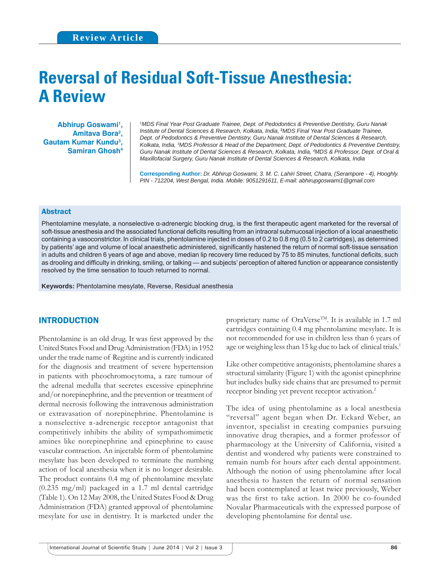# **Reversal of Residual Soft-Tissue Anesthesia: A Review**

**Abhirup Goswami1 , Amitava Bora2 , Gautam Kumar Kundu3 , Samiran Ghosh4**

*1 MDS Final Year Post Graduate Trainee, Dept. of Pedodontics & Preventive Dentistry, Guru Nanak Institute of Dental Sciences & Research, Kolkata, India,* **<sup>2</sup>** *MDS Final Year Post Graduate Trainee, Dept. of Pedodontics & Preventive Dentistry, Guru Nanak Institute of Dental Sciences & Research, Kolkata, India, 3 MDS Professor & Head of the Department, Dept. of Pedodontics & Preventive Dentistry, Guru Nanak Institute of Dental Sciences & Research, Kolkata, India, 4 MDS & Professor, Dept. of Oral & Maxillofacial Surgery, Guru Nanak Institute of Dental Sciences & Research, Kolkata, India*

**Corresponding Author:** *Dr. Abhirup Goswami, 3. M. C. Lahiri Street, Chatra, (Serampore - 4), Hooghly. PIN - 712204, West Bengal, India. Mobile: 9051291611, E-mail: abhirupgoswami1@gmail.com*

### Abstract

Phentolamine mesylate, a nonselective  $\alpha$ -adrenergic blocking drug, is the first therapeutic agent marketed for the reversal of soft-tissue anesthesia and the associated functional deficits resulting from an intraoral submucosal injection of a local anaesthetic containing a vasoconstrictor. In clinical trials, phentolamine injected in doses of 0.2 to 0.8 mg (0.5 to 2 cartridges), as determined by patients' age and volume of local anaesthetic administered, significantly hastened the return of normal soft-tissue sensation in adults and children 6 years of age and above, median lip recovery time reduced by 75 to 85 minutes, functional deficits, such as drooling and difficulty in drinking, smiling, or talking — and subjects' perception of altered function or appearance consistently resolved by the time sensation to touch returned to normal.

**Keywords:** Phentolamine mesylate, Reverse, Residual anesthesia

# INTRODUCTION

Phentolamine is an old drug. It was first approved by the United States Food and Drug Administration (FDA) in 1952 under the trade name of Regitine and is currently indicated for the diagnosis and treatment of severe hypertension in patients with pheochromocytoma, a rare tumour of the adrenal medulla that secretes excessive epinephrine and/or norepinephrine, and the prevention or treatment of dermal necrosis following the intravenous administration or extravasation of norepinephrine. Phentolamine is a nonselective α-adrenergic receptor antagonist that competitively inhibits the ability of sympathomimetic amines like norepinephrine and epinephrine to cause vascular contraction. An injectable form of phentolamine mesylate has been developed to terminate the numbing action of local anesthesia when it is no longer desirable. The product contains 0.4 mg of phentolamine mesylate (0.235 mg/ml) packaged in a 1.7 ml dental cartridge (Table 1). On 12 May 2008, the United States Food & Drug Administration (FDA) granted approval of phentolamine mesylate for use in dentistry. It is marketed under the

proprietary name of OraVerse<sup>TM</sup>. It is available in 1.7 ml cartridges containing 0.4 mg phentolamine mesylate. It is not recommended for use in children less than 6 years of age or weighing less than 15 kg due to lack of clinical trials.<sup>1</sup>

Like other competitive antagonists, phentolamine shares a structural similarity (Figure 1) with the agonist epinephrine but includes bulky side chains that are presumed to permit receptor binding yet prevent receptor activation.<sup>2</sup>

The idea of using phentolamine as a local anesthesia "reversal" agent began when Dr. Eckard Weber, an inventor, specialist in creating companies pursuing innovative drug therapies, and a former professor of pharmacology at the University of California, visited a dentist and wondered why patients were constrained to remain numb for hours after each dental appointment. Although the notion of using phentolamine after local anesthesia to hasten the return of normal sensation had been contemplated at least twice previously, Weber was the first to take action. In 2000 he co-founded Novalar Pharmaceuticals with the expressed purpose of developing phentolamine for dental use.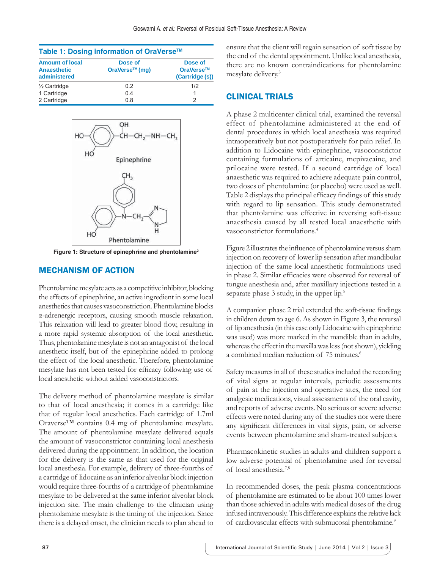| Table 1: Dosing information of OraVerse™                     |                                       |                                         |  |  |  |  |
|--------------------------------------------------------------|---------------------------------------|-----------------------------------------|--|--|--|--|
| <b>Amount of local</b><br><b>Anaesthetic</b><br>administered | Dose of<br>OraVerse <sup>™</sup> (mq) | Dose of<br>OraVerse™<br>(Cartridge (s)) |  |  |  |  |
| 1/ <sub>2</sub> Cartridge                                    | 02                                    | 1/2                                     |  |  |  |  |
| 1 Cartridge                                                  | 04                                    | 1                                       |  |  |  |  |
| 2 Cartridge                                                  | 0.8                                   | 2                                       |  |  |  |  |



**Figure 1: Structure of epinephrine and phentolamine2**

## MECHANISM OF ACTION

Phentolamine mesylate acts as a competitive inhibitor, blocking the effects of epinephrine, an active ingredient in some local anesthetics that causes vasoconstriction. Phentolamine blocks α-adrenergic receptors, causing smooth muscle relaxation. This relaxation will lead to greater blood flow, resulting in a more rapid systemic absorption of the local anesthetic. Thus, phentolamine mesylate is not an antagonist of the local anesthetic itself, but of the epinephrine added to prolong the effect of the local anesthetic. Therefore, phentolamine mesylate has not been tested for efficacy following use of local anesthetic without added vasoconstrictors.

The delivery method of phentolamine mesylate is similar to that of local anesthesia; it comes in a cartridge like that of regular local anesthetics. Each cartridge of 1.7ml Oraverse™ contains 0.4 mg of phentolamine mesylate. The amount of phentolamine mesylate delivered equals the amount of vasoconstrictor containing local anesthesia delivered during the appointment. In addition, the location for the delivery is the same as that used for the original local anesthesia. For example, delivery of three-fourths of a cartridge of lidocaine as an inferior alveolar block injection would require three-fourths of a cartridge of phentolamine mesylate to be delivered at the same inferior alveolar block injection site. The main challenge to the clinician using phentolamine mesylate is the timing of the injection. Since there is a delayed onset, the clinician needs to plan ahead to

ensure that the client will regain sensation of soft tissue by the end of the dental appointment. Unlike local anesthesia, there are no known contraindications for phentolamine mesylate delivery.3

# CLINICAL TRIALS

A phase 2 multicenter clinical trial, examined the reversal effect of phentolamine administered at the end of dental procedures in which local anesthesia was required intraoperatively but not postoperatively for pain relief. In addition to Lidocaine with epinephrine, vasoconstrictor containing formulations of articaine, mepivacaine, and prilocaine were tested. If a second cartridge of local anaesthetic was required to achieve adequate pain control, two doses of phentolamine (or placebo) were used as well. Table 2 displays the principal efficacy findings of this study with regard to lip sensation. This study demonstrated that phentolamine was effective in reversing soft-tissue anaesthesia caused by all tested local anaesthetic with vasoconstrictor formulations.4

Figure 2 illustrates the influence of phentolamine versus sham injection on recovery of lower lip sensation after mandibular injection of the same local anaesthetic formulations used in phase 2. Similar efficacies were observed for reversal of tongue anesthesia and, after maxillary injections tested in a separate phase 3 study, in the upper lip.<sup>5</sup>

A companion phase 2 trial extended the soft-tissue findings in children down to age 6. As shown in Figure 3, the reversal of lip anesthesia (in this case only Lidocaine with epinephrine was used) was more marked in the mandible than in adults, whereas the effect in the maxilla was less (not shown), yielding a combined median reduction of 75 minutes.<sup>6</sup>

Safety measures in all of these studies included the recording of vital signs at regular intervals, periodic assessments of pain at the injection and operative sites, the need for analgesic medications, visual assessments of the oral cavity, and reports of adverse events. No serious or severe adverse effects were noted during any of the studies nor were there any significant differences in vital signs, pain, or adverse events between phentolamine and sham-treated subjects.

Pharmacokinetic studies in adults and children support a low adverse potential of phentolamine used for reversal of local anesthesia.7,8

In recommended doses, the peak plasma concentrations of phentolamine are estimated to be about 100 times lower than those achieved in adults with medical doses of the drug infused intravenously. This difference explains the relative lack of cardiovascular effects with submucosal phentolamine.<sup>9</sup>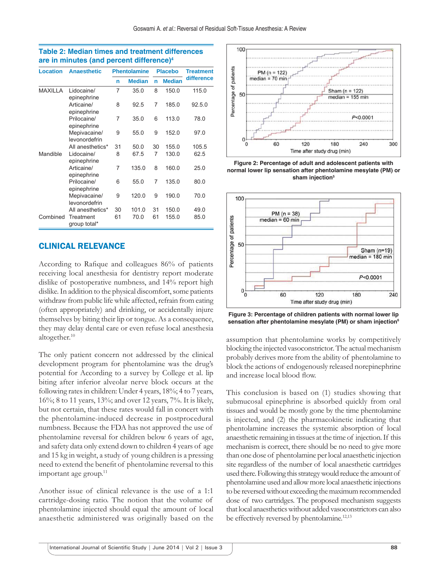| <b>Location</b> | <b>Anaesthetic</b>            | <b>Phentolamine</b> |               | <b>Placebo</b> |               | <b>Treatment</b> |
|-----------------|-------------------------------|---------------------|---------------|----------------|---------------|------------------|
|                 |                               | n                   | <b>Median</b> | n              | <b>Median</b> | difference       |
| <b>MAXILLA</b>  | Lidocaine/<br>epinephrine     | 7                   | 35.0          | 8              | 150.0         | 115.0            |
|                 | Articaine/<br>epinephrine     | 8                   | 92.5          | 7              | 185.0         | 92.5.0           |
|                 | Prilocaine/<br>epinephrine    | 7                   | 35.0          | 6              | 113.0         | 78.0             |
|                 | Mepivacaine/<br>levonordefrin | 9                   | 55.0          | 9              | 152.0         | 97.0             |
|                 | All anesthetics*              | 31                  | 50.0          | 30             | 155.0         | 105.5            |
| Mandible        | Lidocaine/<br>epinephrine     | 8                   | 67.5          | 7              | 130.0         | 62.5             |
|                 | Articaine/<br>epinephrine     | 7                   | 135.0         | 8              | 160.0         | 25.0             |
|                 | Prilocaine/<br>epinephrine    | 6                   | 55.0          | 7              | 135.0         | 80.0             |
|                 | Mepivacaine/<br>levonordefrin | 9                   | 120.0         | 9              | 190.0         | 70.0             |
|                 | All anesthetics*              | 30                  | 101.0         | 31             | 150.0         | 49.0             |
| Combined        | Treatment<br>group total*     | 61                  | 70.0          | 61             | 155.0         | 85.0             |

### **Table 2: Median times and treatment differences are in minutes (and percent difference)4**

# CLINICAL RELEVANCE

According to Rafique and colleagues 86% of patients receiving local anesthesia for dentistry report moderate dislike of postoperative numbness, and 14% report high dislike. In addition to the physical discomfort, some patients withdraw from public life while affected, refrain from eating (often appropriately) and drinking, or accidentally injure themselves by biting their lip or tongue. As a consequence, they may delay dental care or even refuse local anesthesia altogether.<sup>10</sup>

The only patient concern not addressed by the clinical development program for phentolamine was the drug's potential for According to a survey by College et al. lip biting after inferior alveolar nerve block occurs at the following rates in children: Under 4 years, 18%; 4 to 7 years, 16%; 8 to 11 years, 13%; and over 12 years, 7%. It is likely, but not certain, that these rates would fall in concert with the phentolamine-induced decrease in postprocedural numbness. Because the FDA has not approved the use of phentolamine reversal for children below 6 years of age, and safety data only extend down to children 4 years of age and 15 kg in weight, a study of young children is a pressing need to extend the benefit of phentolamine reversal to this important age group.<sup>11</sup>

Another issue of clinical relevance is the use of a 1:1 cartridge-dosing ratio. The notion that the volume of phentolamine injected should equal the amount of local anaesthetic administered was originally based on the



**Figure 2: Percentage of adult and adolescent patients with normal lower lip sensation after phentolamine mesylate (PM) or sham injection5**



**Figure 3: Percentage of children patients with normal lower lip sensation after phentolamine mesylate (PM) or sham injection6**

assumption that phentolamine works by competitively blocking the injected vasoconstrictor. The actual mechanism probably derives more from the ability of phentolamine to block the actions of endogenously released norepinephrine and increase local blood flow.

This conclusion is based on (1) studies showing that submucosal epinephrine is absorbed quickly from oral tissues and would be mostly gone by the time phentolamine is injected, and (2) the pharmacokinetic indicating that phentolamine increases the systemic absorption of local anaesthetic remaining in tissues at the time of injection. If this mechanism is correct, there should be no need to give more than one dose of phentolamine per local anaesthetic injection site regardless of the number of local anaesthetic cartridges used there. Following this strategy would reduce the amount of phentolamine used and allow more local anaesthetic injections to be reversed without exceeding the maximum recommended dose of two cartridges. The proposed mechanism suggests that local anaesthetics without added vasoconstrictors can also be effectively reversed by phentolamine.<sup>12,13</sup>